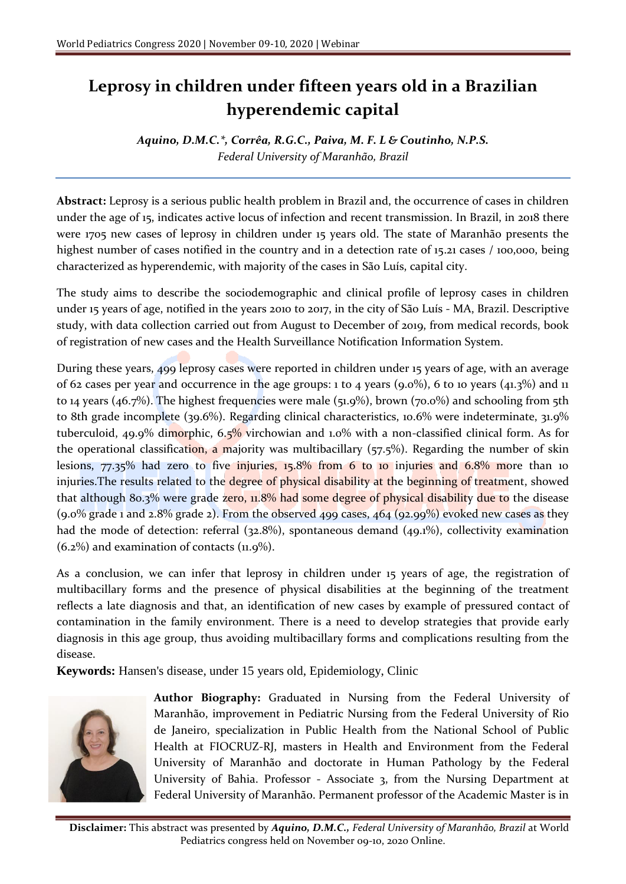## **Leprosy in children under fifteen years old in a Brazilian hyperendemic capital**

*Aquino, D.M.C.\*, Corrêa, R.G.C., Paiva, M. F. L & Coutinho, N.P.S. Federal University of Maranhão, Brazil*

**Abstract:** Leprosy is a serious public health problem in Brazil and, the occurrence of cases in children under the age of 15, indicates active locus of infection and recent transmission. In Brazil, in 2018 there were 1705 new cases of leprosy in children under 15 years old. The state of Maranhão presents the highest number of cases notified in the country and in a detection rate of 15.21 cases / 100,000, being characterized as hyperendemic, with majority of the cases in São Luís, capital city.

The study aims to describe the sociodemographic and clinical profile of leprosy cases in children under 15 years of age, notified in the years 2010 to 2017, in the city of São Luís - MA, Brazil. Descriptive study, with data collection carried out from August to December of 2019, from medical records, book of registration of new cases and the Health Surveillance Notification Information System.

During these years, 499 leprosy cases were reported in children under 15 years of age, with an average of 62 cases per year and occurrence in the age groups: 1 to 4 years  $(9.0\%)$ , 6 to 10 years  $(41.3\%)$  and 11 to 14 years (46.7%). The highest frequencies were male (51.9%), brown (70.0%) and schooling from 5th to 8th grade incomplete (39.6%). Regarding clinical characteristics, 10.6% were indeterminate, 31.9% tuberculoid, 49.9% dimorphic, 6.5% virchowian and 1.0% with a non-classified clinical form. As for the operational classification, a majority was multibacillary ( $57.5\%$ ). Regarding the number of skin lesions, 77.35% had zero to five injuries, 15.8% from 6 to 10 injuries and 6.8% more than 10 injuries.The results related to the degree of physical disability at the beginning of treatment, showed that although 80.3% were grade zero, 11.8% had some degree of physical disability due to the disease (9.0% grade 1 and 2.8% grade 2). From the observed 499 cases, 464 (92.99%) evoked new cases as they had the mode of detection: referral (32.8%), spontaneous demand (49.1%), collectivity examination  $(6.2\%)$  and examination of contacts  $(11.9\%).$ 

As a conclusion, we can infer that leprosy in children under 15 years of age, the registration of multibacillary forms and the presence of physical disabilities at the beginning of the treatment reflects a late diagnosis and that, an identification of new cases by example of pressured contact of contamination in the family environment. There is a need to develop strategies that provide early diagnosis in this age group, thus avoiding multibacillary forms and complications resulting from the disease.

**Keywords:** Hansen's disease, under 15 years old, Epidemiology, Clinic



**Author Biography:** Graduated in Nursing from the Federal University of Maranhão, improvement in Pediatric Nursing from the Federal University of Rio de Janeiro, specialization in Public Health from the National School of Public Health at FIOCRUZ-RJ, masters in Health and Environment from the Federal University of Maranhão and doctorate in Human Pathology by the Federal University of Bahia. Professor - Associate 3, from the Nursing Department at Federal University of Maranhão. Permanent professor of the Academic Master is in

**Disclaimer:** This abstract was presented by *Aquino, D.M.C., Federal University of Maranhão, Brazil* at World Pediatrics congress held on November 09-10, 2020 Online.